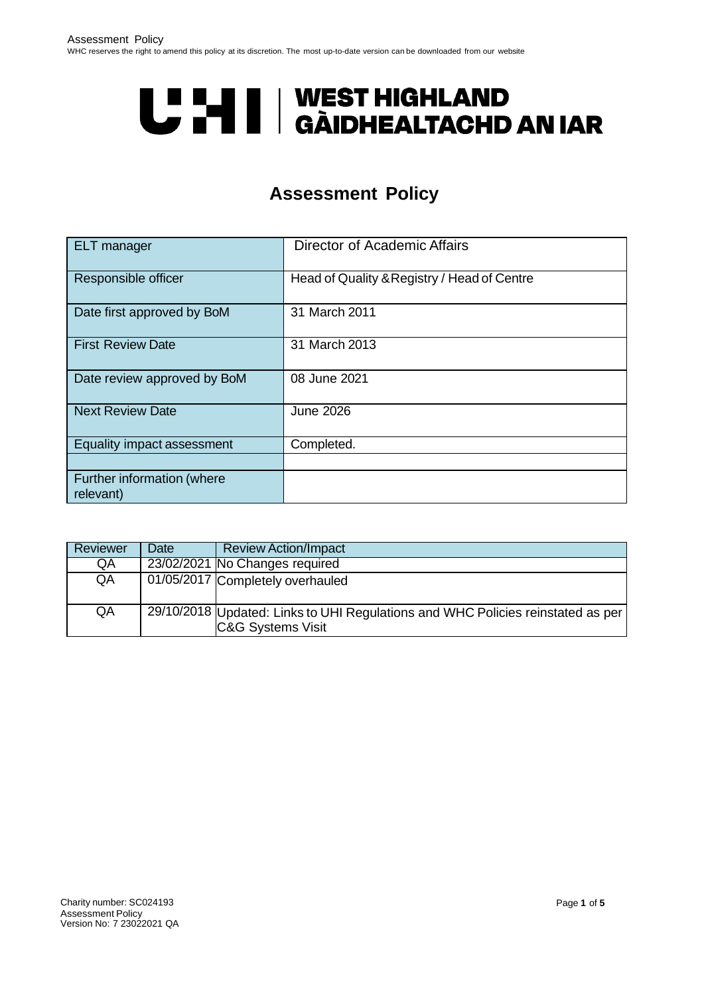# **U "HI | WEST HIGHLAND<br>U THI | GÀIDHEALTACHD AN IAR**

# **Assessment Policy**

<span id="page-0-0"></span>

| <b>ELT</b> manager                      | Director of Academic Affairs                |
|-----------------------------------------|---------------------------------------------|
| Responsible officer                     | Head of Quality & Registry / Head of Centre |
| Date first approved by BoM              | 31 March 2011                               |
| <b>First Review Date</b>                | 31 March 2013                               |
| Date review approved by BoM             | 08 June 2021                                |
| <b>Next Review Date</b>                 | <b>June 2026</b>                            |
| Equality impact assessment              | Completed.                                  |
| Further information (where<br>relevant) |                                             |

| Reviewer | Date | <b>Review Action/Impact</b>                                                                                     |
|----------|------|-----------------------------------------------------------------------------------------------------------------|
| QA       |      | 23/02/2021 No Changes required                                                                                  |
| QA       |      | 01/05/2017 Completely overhauled                                                                                |
| QA       |      | 29/10/2018 Updated: Links to UHI Regulations and WHC Policies reinstated as per<br><b>C&amp;G Systems Visit</b> |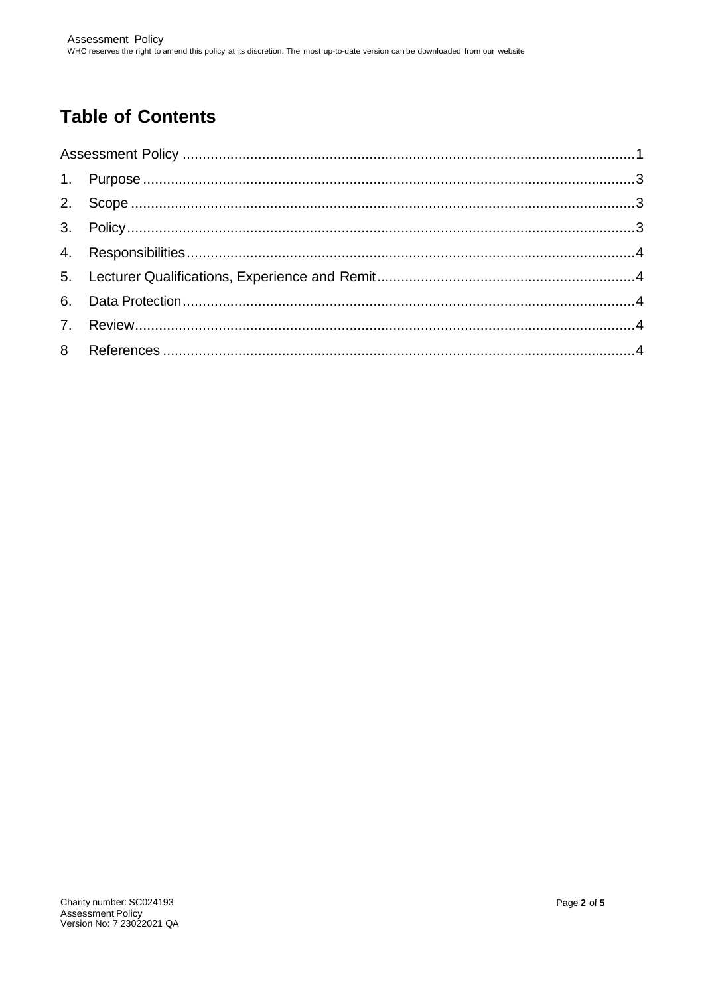# **Table of Contents**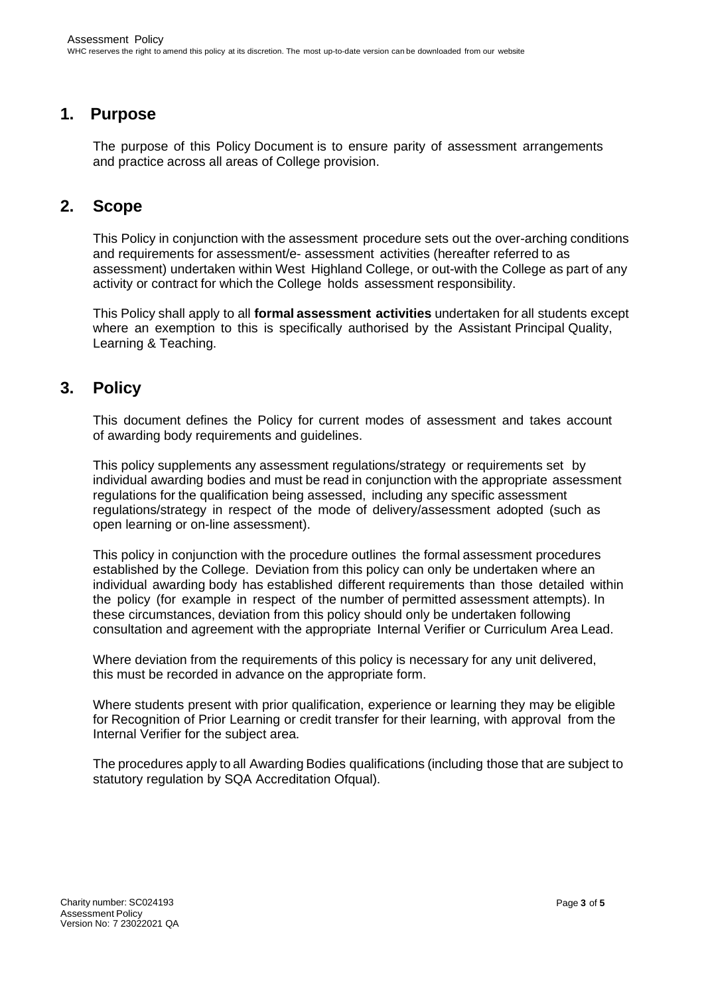## <span id="page-2-0"></span>**1. Purpose**

The purpose of this Policy Document is to ensure parity of assessment arrangements and practice across all areas of College provision.

## <span id="page-2-1"></span>**2. Scope**

This Policy in conjunction with the assessment procedure sets out the over-arching conditions and requirements for assessment/e- assessment activities (hereafter referred to as assessment) undertaken within West Highland College, or out-with the College as part of any activity or contract for which the College holds assessment responsibility.

This Policy shall apply to all **formal assessment activities** undertaken for all students except where an exemption to this is specifically authorised by the Assistant Principal Quality, Learning & Teaching.

# <span id="page-2-2"></span>**3. Policy**

This document defines the Policy for current modes of assessment and takes account of awarding body requirements and guidelines.

This policy supplements any assessment regulations/strategy or requirements set by individual awarding bodies and must be read in conjunction with the appropriate assessment regulations for the qualification being assessed, including any specific assessment regulations/strategy in respect of the mode of delivery/assessment adopted (such as open learning or on-line assessment).

This policy in conjunction with the procedure outlines the formal assessment procedures established by the College. Deviation from this policy can only be undertaken where an individual awarding body has established different requirements than those detailed within the policy (for example in respect of the number of permitted assessment attempts). In these circumstances, deviation from this policy should only be undertaken following consultation and agreement with the appropriate Internal Verifier or Curriculum Area Lead.

Where deviation from the requirements of this policy is necessary for any unit delivered, this must be recorded in advance on the appropriate form.

Where students present with prior qualification, experience or learning they may be eligible for Recognition of Prior Learning or credit transfer for their learning, with approval from the Internal Verifier for the subject area.

The procedures apply to all Awarding Bodies qualifications (including those that are subject to statutory regulation by SQA Accreditation Ofqual).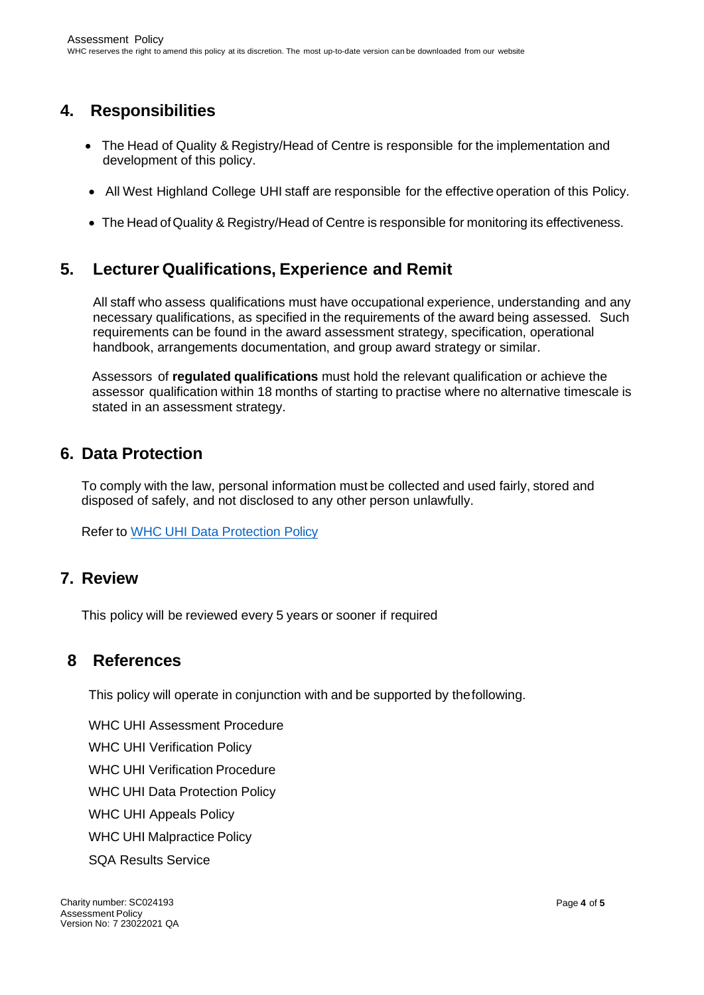# <span id="page-3-0"></span>**4. Responsibilities**

- The Head of Quality & Registry/Head of Centre is responsible for the implementation and development of this policy.
- All West Highland College UHI staff are responsible for the effective operation of this Policy.
- The Head of Quality & Registry/Head of Centre is responsible for monitoring its effectiveness.

# <span id="page-3-1"></span>**5. Lecturer Qualifications, Experience and Remit**

All staff who assess qualifications must have occupational experience, understanding and any necessary qualifications, as specified in the requirements of the award being assessed. Such requirements can be found in the award assessment strategy, specification, operational handbook, arrangements documentation, and group award strategy or similar.

Assessors of **regulated qualifications** must hold the relevant qualification or achieve the assessor qualification within 18 months of starting to practise where no alternative timescale is stated in an assessment strategy.

# <span id="page-3-2"></span>**6. Data Protection**

To comply with the law, personal information must be collected and used fairly, stored and disposed of safely, and not disclosed to any other person unlawfully.

Refer to WHC UHI Data [Protection](http://staff.whc.uhi.ac.uk/Downloads/All-Policies/Data-Protection-Policy.pdf) Policy

### <span id="page-3-3"></span>**7. Review**

This policy will be reviewed every 5 years or sooner if required

### <span id="page-3-4"></span>**8 References**

This policy will operate in conjunction with and be supported by thefollowing.

[WHC UHI Assessment Procedure](http://staff.whc.uhi.ac.uk/Downloads/All-Policies/AssessmentProcedure.pdf) [WHC UHI Verification Policy](http://staff.whc.uhi.ac.uk/Downloads/All-Policies/Verification-Policy.pdf) WHC [UHI Verification](http://staff.whc.uhi.ac.uk/Downloads/All-Policies/VerificationProcedure.pdf) Procedure WHC UHI Data [Protection](http://staff.whc.uhi.ac.uk/Downloads/All-Policies/Data-Protection-Policy.pdf) Policy [WHC UHI Appeals Policy](http://staff.whc.uhi.ac.uk/Downloads/All-Policies/Appeals-Policy-Pol-Proc.pdf) WHC UHI [Malpractice](http://staff.whc.uhi.ac.uk/Downloads/All-Policies/Malpractice-Policy.pdf) Policy

[SQA Results Service](https://www.sqa.org.uk/sqa/79048.html)